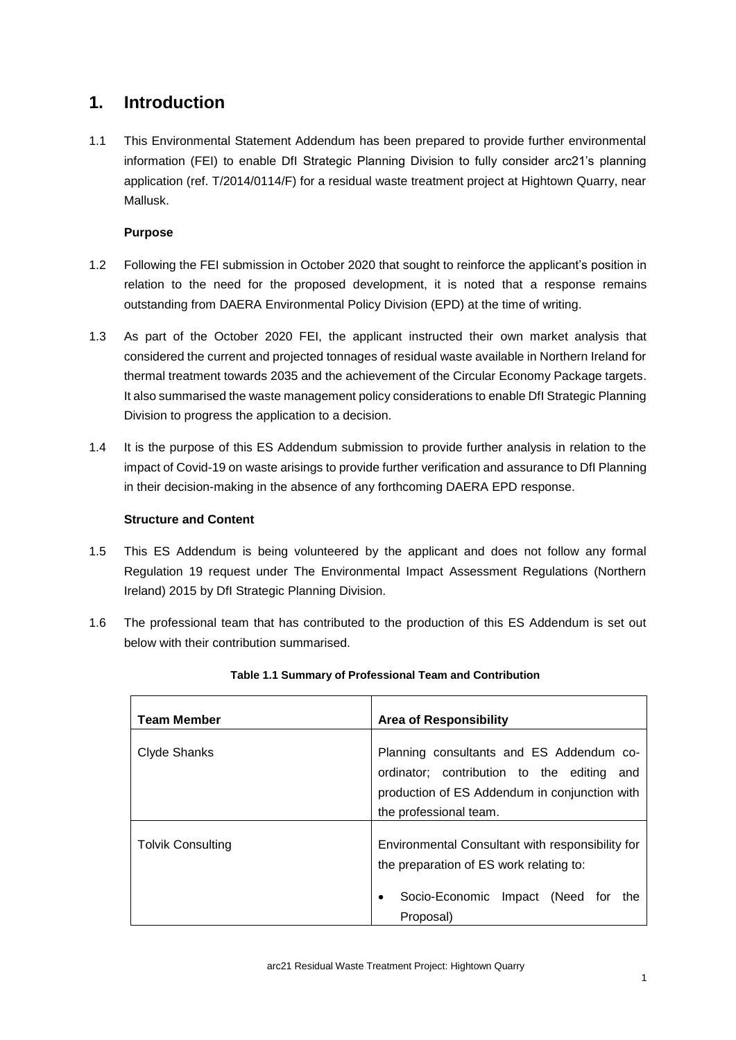# **1. Introduction**

1.1 This Environmental Statement Addendum has been prepared to provide further environmental information (FEI) to enable DfI Strategic Planning Division to fully consider arc21's planning application (ref. T/2014/0114/F) for a residual waste treatment project at Hightown Quarry, near Mallusk.

## **Purpose**

- 1.2 Following the FEI submission in October 2020 that sought to reinforce the applicant's position in relation to the need for the proposed development, it is noted that a response remains outstanding from DAERA Environmental Policy Division (EPD) at the time of writing.
- 1.3 As part of the October 2020 FEI, the applicant instructed their own market analysis that considered the current and projected tonnages of residual waste available in Northern Ireland for thermal treatment towards 2035 and the achievement of the Circular Economy Package targets. It also summarised the waste management policy considerations to enable DfI Strategic Planning Division to progress the application to a decision.
- 1.4 It is the purpose of this ES Addendum submission to provide further analysis in relation to the impact of Covid-19 on waste arisings to provide further verification and assurance to DfI Planning in their decision-making in the absence of any forthcoming DAERA EPD response.

### **Structure and Content**

- 1.5 This ES Addendum is being volunteered by the applicant and does not follow any formal Regulation 19 request under The Environmental Impact Assessment Regulations (Northern Ireland) 2015 by DfI Strategic Planning Division.
- 1.6 The professional team that has contributed to the production of this ES Addendum is set out below with their contribution summarised.

| <b>Team Member</b> | <b>Area of Responsibility</b>                                                                                                                                        |
|--------------------|----------------------------------------------------------------------------------------------------------------------------------------------------------------------|
| Clyde Shanks       | Planning consultants and ES Addendum co-<br>ordinator; contribution to the editing<br>and<br>production of ES Addendum in conjunction with<br>the professional team. |
| Tolvik Consulting  | Environmental Consultant with responsibility for<br>the preparation of ES work relating to:<br>Socio-Economic<br>(Need for<br>Impact<br>the<br>Proposal)             |

### **Table 1.1 Summary of Professional Team and Contribution**